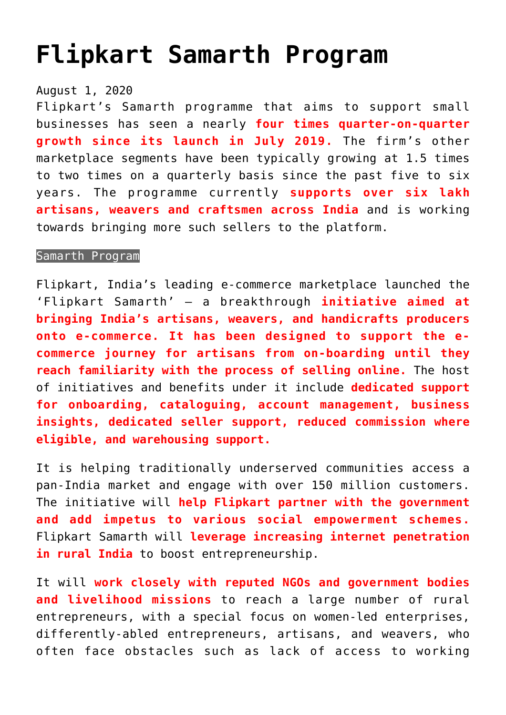## **[Flipkart Samarth Program](https://journalsofindia.com/flipkart-samarth-program/)**

## August 1, 2020

Flipkart's Samarth programme that aims to support small businesses has seen a nearly **four times quarter-on-quarter growth since its launch in July 2019.** The firm's other marketplace segments have been typically growing at 1.5 times to two times on a quarterly basis since the past five to six years. The programme currently **supports over six lakh artisans, weavers and craftsmen across India** and is working towards bringing more such sellers to the platform.

## Samarth Program

Flipkart, India's leading e-commerce marketplace launched the 'Flipkart Samarth' – a breakthrough **initiative aimed at bringing India's artisans, weavers, and handicrafts producers onto e-commerce. It has been designed to support the ecommerce journey for artisans from on-boarding until they reach familiarity with the process of selling online.** The host of initiatives and benefits under it include **dedicated support for onboarding, cataloguing, account management, business insights, dedicated seller support, reduced commission where eligible, and warehousing support.**

It is helping traditionally underserved communities access a pan-India market and engage with over 150 million customers. The initiative will **help Flipkart partner with the government and add impetus to various social empowerment schemes.** Flipkart Samarth will **leverage increasing internet penetration in rural India** to boost entrepreneurship.

It will **work closely with reputed NGOs and government bodies and livelihood missions** to reach a large number of rural entrepreneurs, with a special focus on women-led enterprises, differently-abled entrepreneurs, artisans, and weavers, who often face obstacles such as lack of access to working